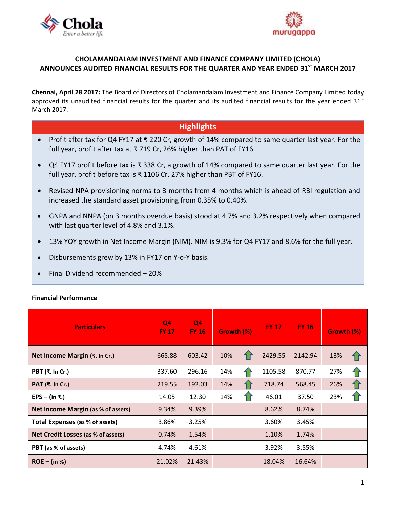



# **CHOLAMANDALAM INVESTMENT AND FINANCE COMPANY LIMITED (CHOLA) ANNOUNCES AUDITED FINANCIAL RESULTS FOR THE QUARTER AND YEAR ENDED 31st MARCH 2017**

**Chennai, April 28 2017:** The Board of Directors of [Cholamandalam Investment and Finance Company Limited](http://www.cholamandalam.com/) today approved its unaudited financial results for the quarter and its audited financial results for the year ended  $31^{st}$ March 2017.

# **Highlights**

- Profit after tax for Q4 FY17 at ₹ 220 Cr, growth of 14% compared to same quarter last year. For the full year, profit after tax at ₹ 719 Cr, 26% higher than PAT of FY16.
- Q4 FY17 profit before tax is ₹ 338 Cr, a growth of 14% compared to same quarter last year. For the full year, profit before tax is ₹ 1106 Cr, 27% higher than PBT of FY16.
- Revised NPA provisioning norms to 3 months from 4 months which is ahead of RBI regulation and increased the standard asset provisioning from 0.35% to 0.40%.
- GNPA and NNPA (on 3 months overdue basis) stood at 4.7% and 3.2% respectively when compared with last quarter level of 4.8% and 3.1%.
- 13% YOY growth in Net Income Margin (NIM). NIM is 9.3% for Q4 FY17 and 8.6% for the full year.
- Disbursements grew by 13% in FY17 on Y-o-Y basis.
- Final Dividend recommended 20%

# **Financial Performance**

| <b>Particulars</b>                        | Q <sub>4</sub><br><b>FY 17</b> | Q4<br><b>FY 16</b> | Growth (%) |     | <b>FY 17</b> | <b>FY 16</b> | Growth (%) |     |
|-------------------------------------------|--------------------------------|--------------------|------------|-----|--------------|--------------|------------|-----|
| Net Income Margin (₹. In Cr.)             | 665.88                         | 603.42             | 10%        | 仆   | 2429.55      | 2142.94      | 13%        | 1ì  |
| <b>PBT (₹. In Cr.)</b>                    | 337.60                         | 296.16             | 14%        | 41  | 1105.58      | 870.77       | 27%        | 1 F |
| PAT (₹. In Cr.)                           | 219.55                         | 192.03             | 14%        | 4 i | 718.74       | 568.45       | 26%        | 11  |
| EPS – (in ₹.)                             | 14.05                          | 12.30              | 14%        | 1 i | 46.01        | 37.50        | 23%        | 仆   |
| <b>Net Income Margin (as % of assets)</b> | 9.34%                          | 9.39%              |            |     | 8.62%        | 8.74%        |            |     |
| <b>Total Expenses (as % of assets)</b>    | 3.86%                          | 3.25%              |            |     | 3.60%        | 3.45%        |            |     |
| Net Credit Losses (as % of assets)        | 0.74%                          | 1.54%              |            |     | 1.10%        | 1.74%        |            |     |
| PBT (as % of assets)                      | 4.74%                          | 4.61%              |            |     | 3.92%        | 3.55%        |            |     |
| $ROE - (in %)$                            | 21.02%                         | 21.43%             |            |     | 18.04%       | 16.64%       |            |     |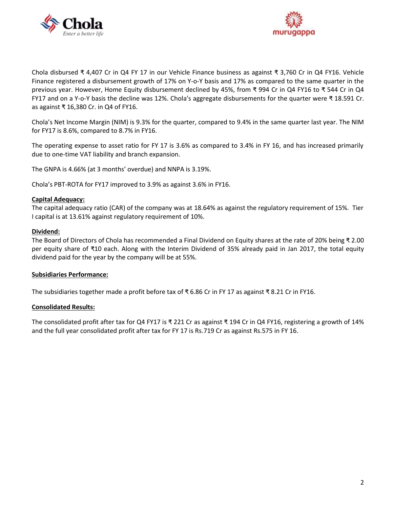



Chola disbursed ₹ 4,407 Cr in Q4 FY 17 in our Vehicle Finance business as against ₹ 3,760 Cr in Q4 FY16. Vehicle Finance registered a disbursement growth of 17% on Y-o-Y basis and 17% as compared to the same quarter in the previous year. However, Home Equity disbursement declined by 45%, from ₹ 994 Cr in Q4 FY16 to ₹ 544 Cr in Q4 FY17 and on a Y-o-Y basis the decline was 12%. Chola's aggregate disbursements for the quarter were ₹ 18.591 Cr. as against ₹ 16,380 Cr. in Q4 of FY16.

Chola's Net Income Margin (NIM) is 9.3% for the quarter, compared to 9.4% in the same quarter last year. The NIM for FY17 is 8.6%, compared to 8.7% in FY16.

The operating expense to asset ratio for FY 17 is 3.6% as compared to 3.4% in FY 16, and has increased primarily due to one-time VAT liability and branch expansion.

The GNPA is 4.66% (at 3 months' overdue) and NNPA is 3.19%.

Chola's PBT-ROTA for FY17 improved to 3.9% as against 3.6% in FY16.

#### **Capital Adequacy:**

The capital adequacy ratio (CAR) of the company was at 18.64% as against the regulatory requirement of 15%. Tier I capital is at 13.61% against regulatory requirement of 10%.

#### **Dividend:**

The Board of Directors of Chola has recommended a Final Dividend on Equity shares at the rate of 20% being ₹ 2.00 per equity share of ₹10 each. Along with the Interim Dividend of 35% already paid in Jan 2017, the total equity dividend paid for the year by the company will be at 55%.

#### **Subsidiaries Performance:**

The subsidiaries together made a profit before tax of ₹ 6.86 Cr in FY 17 as against ₹ 8.21 Cr in FY16.

# **Consolidated Results:**

The consolidated profit after tax for Q4 FY17 is ₹ 221 Cr as against ₹ 194 Cr in Q4 FY16, registering a growth of 14% and the full year consolidated profit after tax for FY 17 is Rs.719 Cr as against Rs.575 in FY 16.